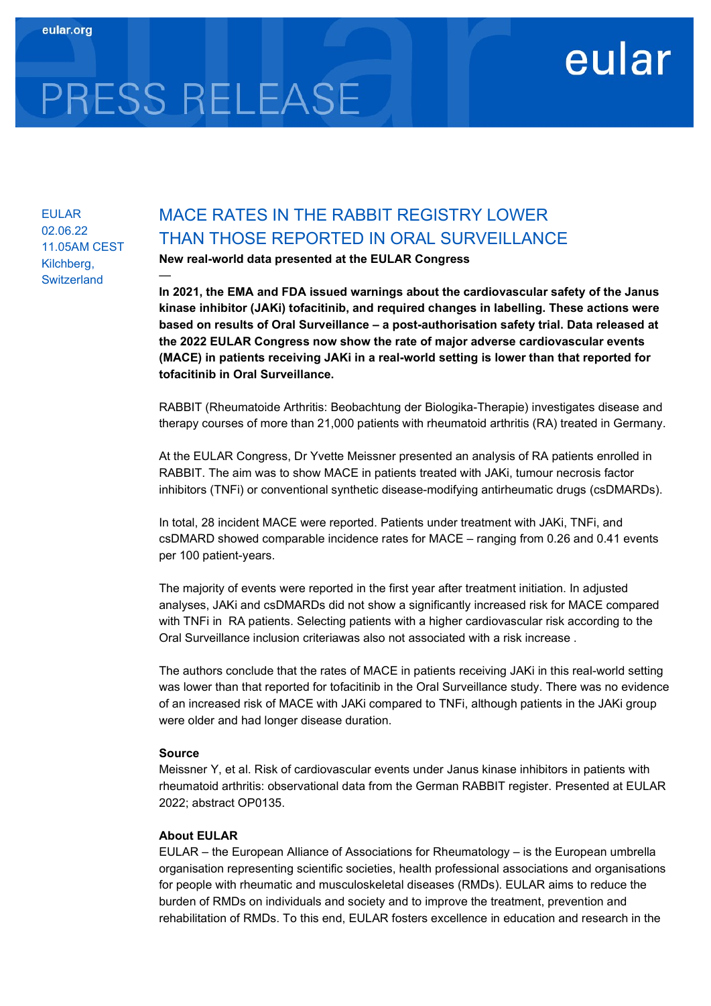# PRESS RELEASE

—

EULAR 02.06.22 11.05AM CEST Kilchberg, **Switzerland** 

# MACE RATES IN THE RABBIT REGISTRY LOWER THAN THOSE REPORTED IN ORAL SURVEILLANCE

New real-world data presented at the EULAR Congress

In 2021, the EMA and FDA issued warnings about the cardiovascular safety of the Janus kinase inhibitor (JAKi) tofacitinib, and required changes in labelling. These actions were based on results of Oral Surveillance – a post-authorisation safety trial. Data released at the 2022 EULAR Congress now show the rate of major adverse cardiovascular events (MACE) in patients receiving JAKi in a real-world setting is lower than that reported for tofacitinib in Oral Surveillance.

eular

RABBIT (Rheumatoide Arthritis: Beobachtung der Biologika-Therapie) investigates disease and therapy courses of more than 21,000 patients with rheumatoid arthritis (RA) treated in Germany.

At the EULAR Congress, Dr Yvette Meissner presented an analysis of RA patients enrolled in RABBIT. The aim was to show MACE in patients treated with JAKi, tumour necrosis factor inhibitors (TNFi) or conventional synthetic disease-modifying antirheumatic drugs (csDMARDs).

In total, 28 incident MACE were reported. Patients under treatment with JAKi, TNFi, and csDMARD showed comparable incidence rates for MACE – ranging from 0.26 and 0.41 events per 100 patient-years.

The majority of events were reported in the first year after treatment initiation. In adjusted analyses, JAKi and csDMARDs did not show a significantly increased risk for MACE compared with TNFi in RA patients. Selecting patients with a higher cardiovascular risk according to the Oral Surveillance inclusion criteriawas also not associated with a risk increase .

The authors conclude that the rates of MACE in patients receiving JAKi in this real-world setting was lower than that reported for tofacitinib in the Oral Surveillance study. There was no evidence of an increased risk of MACE with JAKi compared to TNFi, although patients in the JAKi group were older and had longer disease duration.

# Source

Meissner Y, et al. Risk of cardiovascular events under Janus kinase inhibitors in patients with rheumatoid arthritis: observational data from the German RABBIT register. Presented at EULAR 2022; abstract OP0135.

# About EULAR

EULAR – the European Alliance of Associations for Rheumatology – is the European umbrella organisation representing scientific societies, health professional associations and organisations for people with rheumatic and musculoskeletal diseases (RMDs). EULAR aims to reduce the burden of RMDs on individuals and society and to improve the treatment, prevention and rehabilitation of RMDs. To this end, EULAR fosters excellence in education and research in the